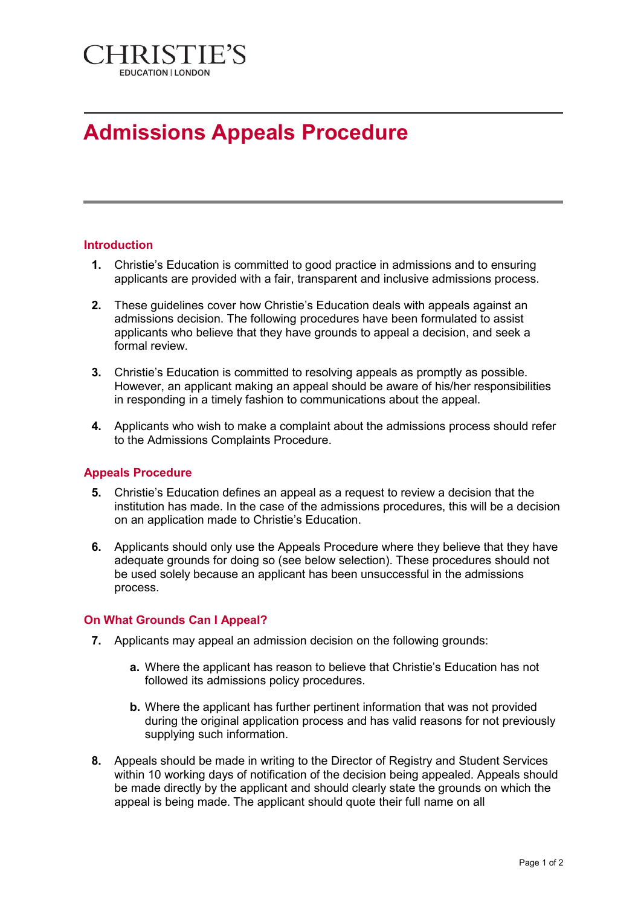

# **Admissions Appeals Procedure**

## **Introduction**

- **1.** Christie's Education is committed to good practice in admissions and to ensuring applicants are provided with a fair, transparent and inclusive admissions process.
- **2.** These guidelines cover how Christie's Education deals with appeals against an admissions decision. The following procedures have been formulated to assist applicants who believe that they have grounds to appeal a decision, and seek a formal review.
- **3.** Christie's Education is committed to resolving appeals as promptly as possible. However, an applicant making an appeal should be aware of his/her responsibilities in responding in a timely fashion to communications about the appeal.
- **4.** Applicants who wish to make a complaint about the admissions process should refer to the Admissions Complaints Procedure.

## **Appeals Procedure**

- **5.** Christie's Education defines an appeal as a request to review a decision that the institution has made. In the case of the admissions procedures, this will be a decision on an application made to Christie's Education.
- **6.** Applicants should only use the Appeals Procedure where they believe that they have adequate grounds for doing so (see below selection). These procedures should not be used solely because an applicant has been unsuccessful in the admissions process.

## **On What Grounds Can I Appeal?**

- **7.** Applicants may appeal an admission decision on the following grounds:
	- **a.** Where the applicant has reason to believe that Christie's Education has not followed its admissions policy procedures.
	- **b.** Where the applicant has further pertinent information that was not provided during the original application process and has valid reasons for not previously supplying such information.
- **8.** Appeals should be made in writing to the Director of Registry and Student Services within 10 working days of notification of the decision being appealed. Appeals should be made directly by the applicant and should clearly state the grounds on which the appeal is being made. The applicant should quote their full name on all